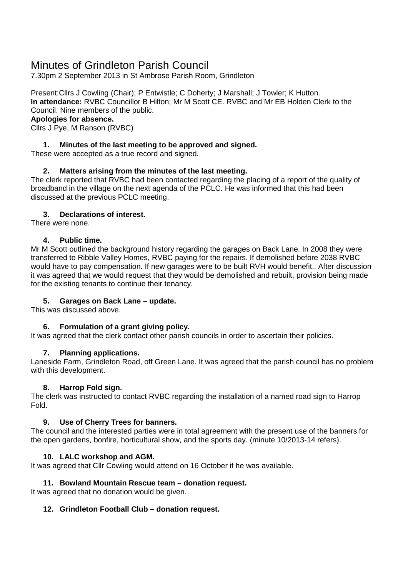# Minutes of Grindleton Parish Council

7.30pm 2 September 2013 in St Ambrose Parish Room, Grindleton

Present:Cllrs J Cowling (Chair); P Entwistle; C Doherty; J Marshall; J Towler; K Hutton. **In attendance:** RVBC Councillor B Hilton; Mr M Scott CE. RVBC and Mr EB Holden Clerk to the Council. Nine members of the public.

# **Apologies for absence.**

Cllrs J Pye, M Ranson (RVBC)

# **1. Minutes of the last meeting to be approved and signed.**

These were accepted as a true record and signed.

# **2. Matters arising from the minutes of the last meeting.**

The clerk reported that RVBC had been contacted regarding the placing of a report of the quality of broadband in the village on the next agenda of the PCLC. He was informed that this had been discussed at the previous PCLC meeting.

## **3. Declarations of interest.**

There were none.

#### **4. Public time.**

Mr M Scott outlined the background history regarding the garages on Back Lane. In 2008 they were transferred to Ribble Valley Homes, RVBC paying for the repairs. If demolished before 2038 RVBC would have to pay compensation. If new garages were to be built RVH would benefit.. After discussion it was agreed that we would request that they would be demolished and rebuilt, provision being made for the existing tenants to continue their tenancy.

#### **5. Garages on Back Lane – update.**

This was discussed above.

# **6. Formulation of a grant giving policy.**

It was agreed that the clerk contact other parish councils in order to ascertain their policies.

# **7. Planning applications.**

Laneside Farm, Grindleton Road, off Green Lane. It was agreed that the parish council has no problem with this development.

# **8. Harrop Fold sign.**

The clerk was instructed to contact RVBC regarding the installation of a named road sign to Harrop Fold.

# **9. Use of Cherry Trees for banners.**

The council and the interested parties were in total agreement with the present use of the banners for the open gardens, bonfire, horticultural show, and the sports day. (minute 10/2013-14 refers).

# **10. LALC workshop and AGM.**

It was agreed that Cllr Cowling would attend on 16 October if he was available.

#### **11. Bowland Mountain Rescue team – donation request.**

It was agreed that no donation would be given.

#### **12. Grindleton Football Club – donation request.**